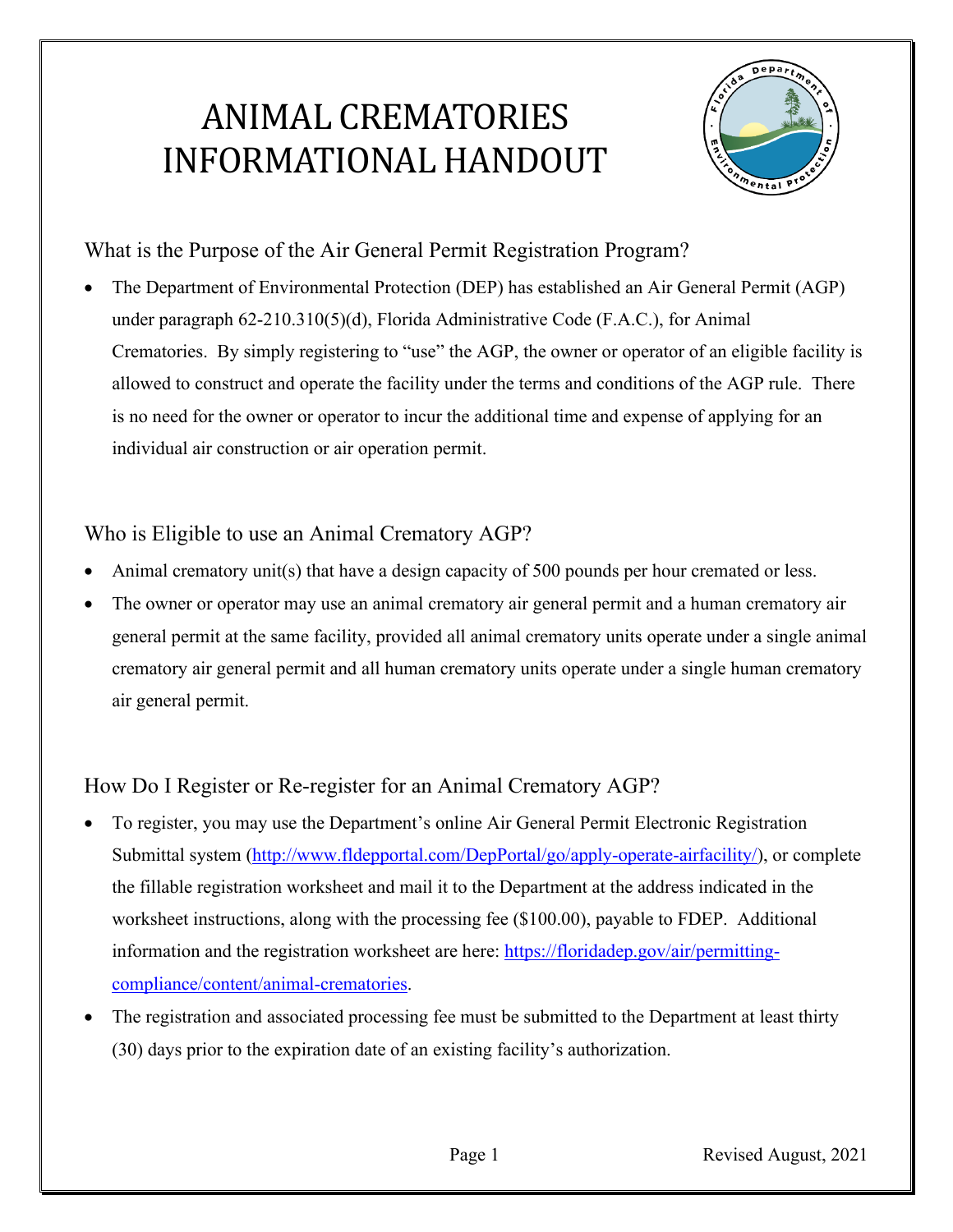# ANIMAL CREMATORIES INFORMATIONAL HANDOUT



What is the Purpose of the Air General Permit Registration Program?

 Crematories. By simply registering to "use" the AGP, the owner or operator of an eligible facility is allowed to construct and operate the facility under the terms and conditions of the AGP rule. There • The Department of Environmental Protection (DEP) has established an Air General Permit (AGP) under paragraph 62-210.310(5)(d), Florida Administrative Code (F.A.C.), for Animal is no need for the owner or operator to incur the additional time and expense of applying for an individual air construction or air operation permit.

### Who is Eligible to use an Animal Crematory AGP?

- Animal crematory unit(s) that have a design capacity of 500 pounds per hour cremated or less.
- The owner or operator may use an animal crematory air general permit and a human crematory air general permit at the same facility, provided all animal crematory units operate under a single animal crematory air general permit and all human crematory units operate under a single human crematory air general permit.

## How Do I Register or Re-register for an Animal Crematory AGP?

- • To register, you may use the Department's online Air General Permit Electronic Registration Submittal system [\(http://www.fldepportal.com/DepPortal/go/apply-operate-airfacility/\)](http://www.fldepportal.com/DepPortal/go/apply-operate-airfacility/), or complete the fillable registration worksheet and mail it to the Department at the address indicated in the worksheet instructions, along with the processing fee (\$100.00), payable to FDEP. Additional information and the registration worksheet are here: [https://floridadep.gov/air/permitting](https://floridadep.gov/air/permitting-compliance/content/animal-crematories)[compliance/content/animal-crematories.](https://floridadep.gov/air/permitting-compliance/content/animal-crematories)
- (30) days prior to the expiration date of an existing facility's authorization. The registration and associated processing fee must be submitted to the Department at least thirty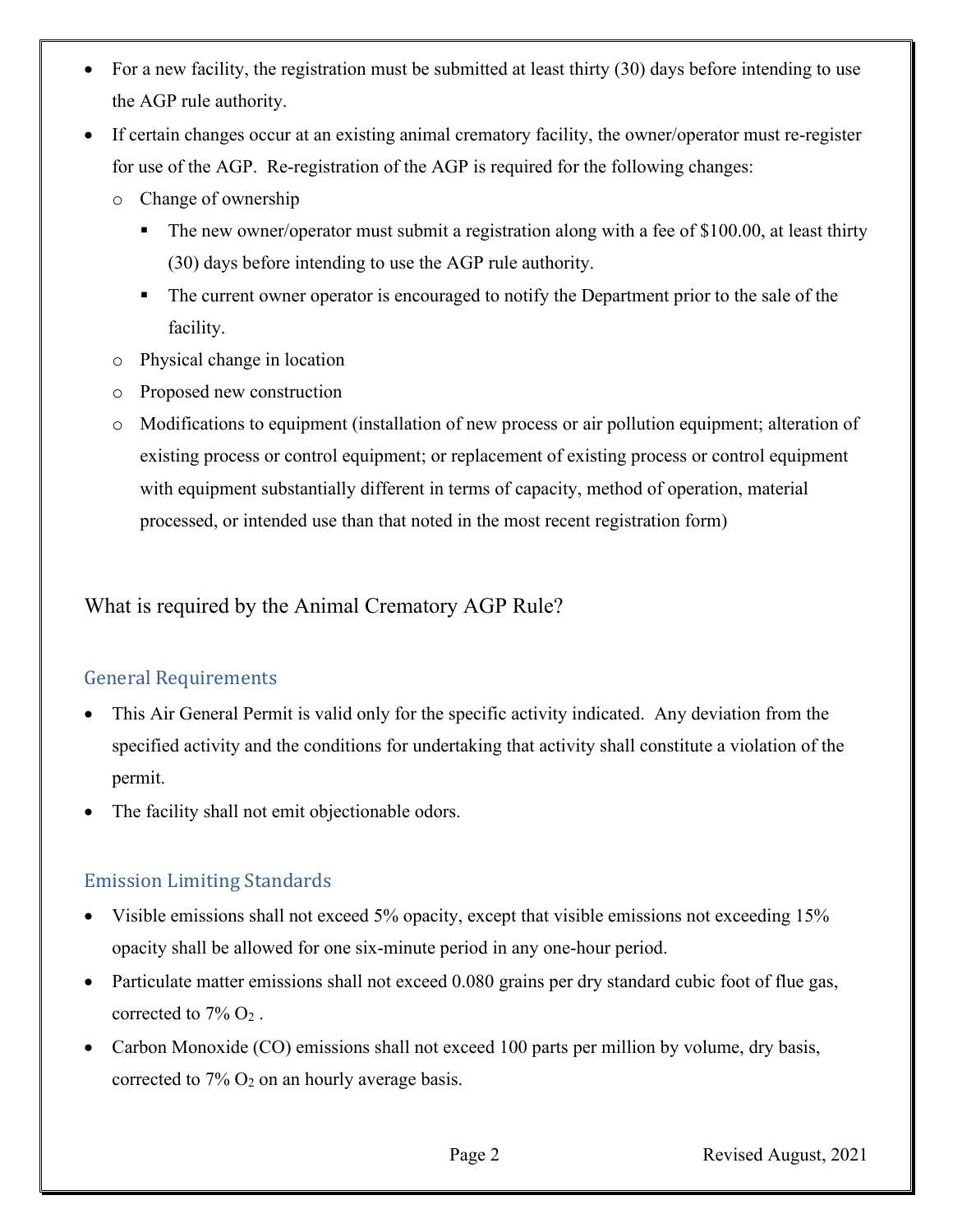- For a new facility, the registration must be submitted at least thirty (30) days before intending to use the AGP rule authority.
- If certain changes occur at an existing animal crematory facility, the owner/operator must re-register for use of the AGP. Re-registration of the AGP is required for the following changes:
	- o Change of ownership
		- The new owner/operator must submit a registration along with a fee of \$100.00, at least thirty (30) days before intending to use the AGP rule authority.
		- The current owner operator is encouraged to notify the Department prior to the sale of the facility.
	- o Physical change in location
	- o Proposed new construction
	- processed, or intended use than that noted in the most recent registration form) o Modifications to equipment (installation of new process or air pollution equipment; alteration of existing process or control equipment; or replacement of existing process or control equipment with equipment substantially different in terms of capacity, method of operation, material

What is required by the Animal Crematory AGP Rule?

# General Requirements

- This Air General Permit is valid only for the specific activity indicated. Any deviation from the specified activity and the conditions for undertaking that activity shall constitute a violation of the permit.
- The facility shall not emit objectionable odors.

#### Emission Limiting Standards

- Visible emissions shall not exceed 5% opacity, except that visible emissions not exceeding 15% opacity shall be allowed for one six-minute period in any one-hour period.
- corrected to  $7\%$  O<sub>2</sub>. • Particulate matter emissions shall not exceed 0.080 grains per dry standard cubic foot of flue gas,
- Carbon Monoxide (CO) emissions shall not exceed 100 parts per million by volume, dry basis, corrected to  $7\%$  O<sub>2</sub> on an hourly average basis.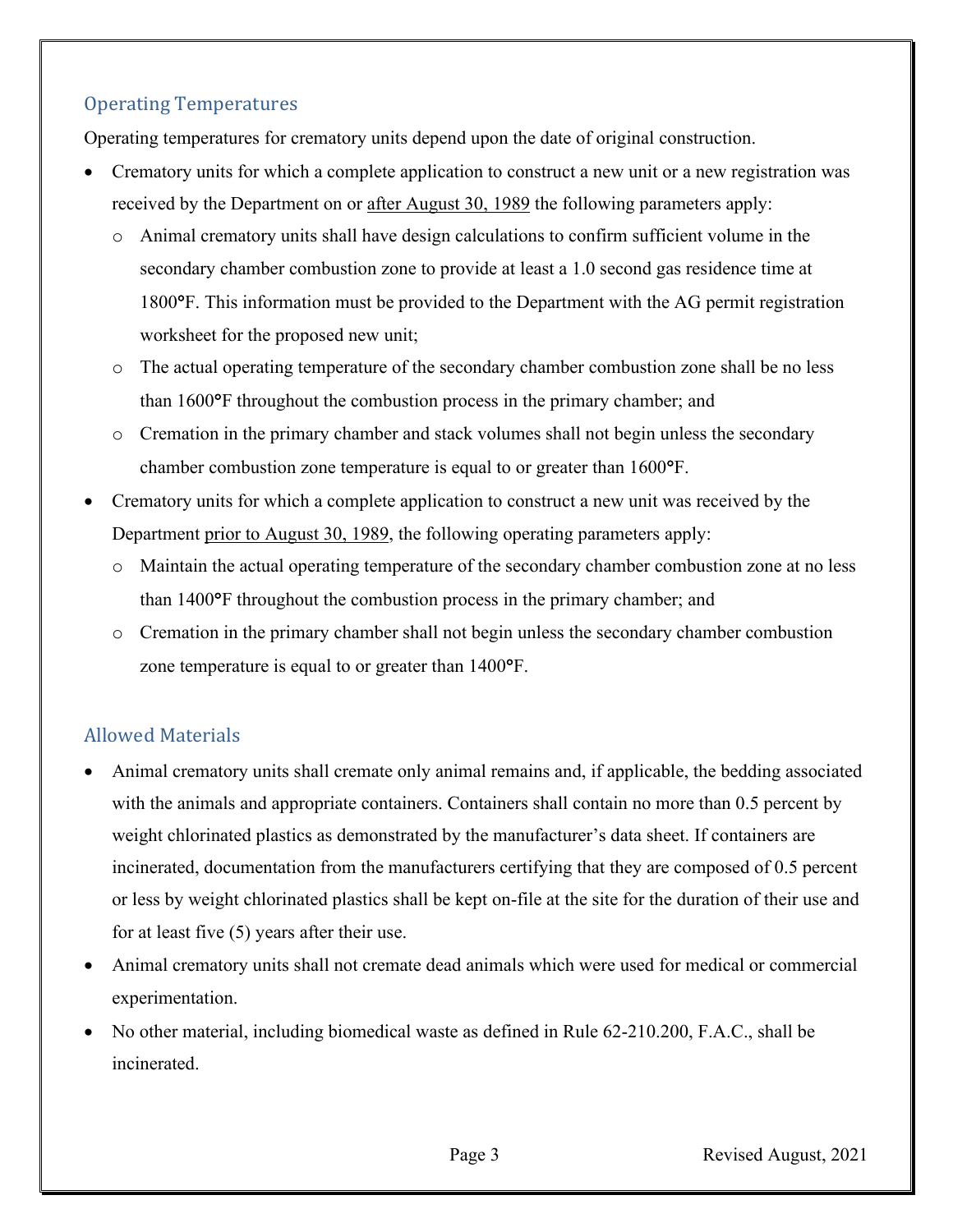#### Operating Temperatures

Operating temperatures for crematory units depend upon the date of original construction.

- Crematory units for which a complete application to construct a new unit or a new registration was received by the Department on or after August 30, 1989 the following parameters apply:
	- o Animal crematory units shall have design calculations to confirm sufficient volume in the secondary chamber combustion zone to provide at least a 1.0 second gas residence time at 1800°F. This information must be provided to the Department with the AG permit registration worksheet for the proposed new unit;
	- o The actual operating temperature of the secondary chamber combustion zone shall be no less than 1600°F throughout the combustion process in the primary chamber; and
	- o Cremation in the primary chamber and stack volumes shall not begin unless the secondary chamber combustion zone temperature is equal to or greater than 1600°F.
- Department prior to August 30, 1989, the following operating parameters apply: • Crematory units for which a complete application to construct a new unit was received by the
	- o Maintain the actual operating temperature of the secondary chamber combustion zone at no less than 1400°F throughout the combustion process in the primary chamber; and
	- o Cremation in the primary chamber shall not begin unless the secondary chamber combustion zone temperature is equal to or greater than 1400°F.

#### Allowed Materials

- weight chlorinated plastics as demonstrated by the manufacturer's data sheet. If containers are • Animal crematory units shall cremate only animal remains and, if applicable, the bedding associated with the animals and appropriate containers. Containers shall contain no more than 0.5 percent by incinerated, documentation from the manufacturers certifying that they are composed of 0.5 percent or less by weight chlorinated plastics shall be kept on-file at the site for the duration of their use and for at least five (5) years after their use.
- • Animal crematory units shall not cremate dead animals which were used for medical or commercial experimentation.
- No other material, including biomedical waste as defined in Rule 62-210.200, F.A.C., shall be incinerated.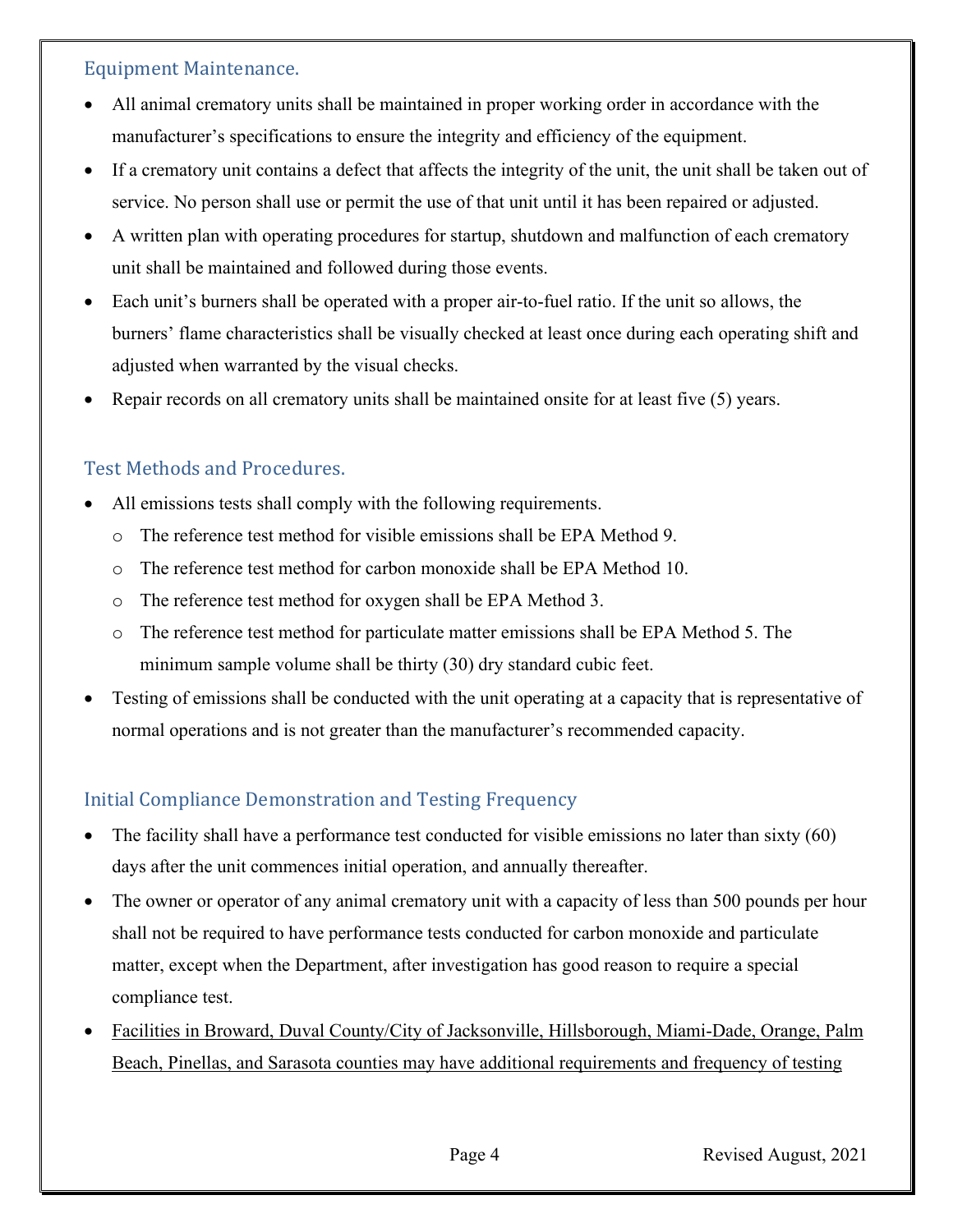#### Equipment Maintenance.

- All animal crematory units shall be maintained in proper working order in accordance with the manufacturer's specifications to ensure the integrity and efficiency of the equipment.
- If a crematory unit contains a defect that affects the integrity of the unit, the unit shall be taken out of service. No person shall use or permit the use of that unit until it has been repaired or adjusted.
- A written plan with operating procedures for startup, shutdown and malfunction of each crematory unit shall be maintained and followed during those events.
- Each unit's burners shall be operated with a proper air-to-fuel ratio. If the unit so allows, the burners' flame characteristics shall be visually checked at least once during each operating shift and adjusted when warranted by the visual checks.
- Repair records on all crematory units shall be maintained onsite for at least five (5) years.

#### Test Methods and Procedures.

- All emissions tests shall comply with the following requirements.
	- o The reference test method for visible emissions shall be EPA Method 9.
	- o The reference test method for carbon monoxide shall be EPA Method 10.
	- o The reference test method for oxygen shall be EPA Method 3.
	- o The reference test method for particulate matter emissions shall be EPA Method 5. The minimum sample volume shall be thirty (30) dry standard cubic feet.
- Testing of emissions shall be conducted with the unit operating at a capacity that is representative of normal operations and is not greater than the manufacturer's recommended capacity.

#### Initial Compliance Demonstration and Testing Frequency

- days after the unit commences initial operation, and annually thereafter. The facility shall have a performance test conducted for visible emissions no later than sixty (60)
- matter, except when the Department, after investigation has good reason to require a special The owner or operator of any animal crematory unit with a capacity of less than 500 pounds per hour shall not be required to have performance tests conducted for carbon monoxide and particulate compliance test.
- Facilities in Broward, Duval County/City of Jacksonville, Hillsborough, Miami-Dade, Orange, Palm Beach, Pinellas, and Sarasota counties may have additional requirements and frequency of testing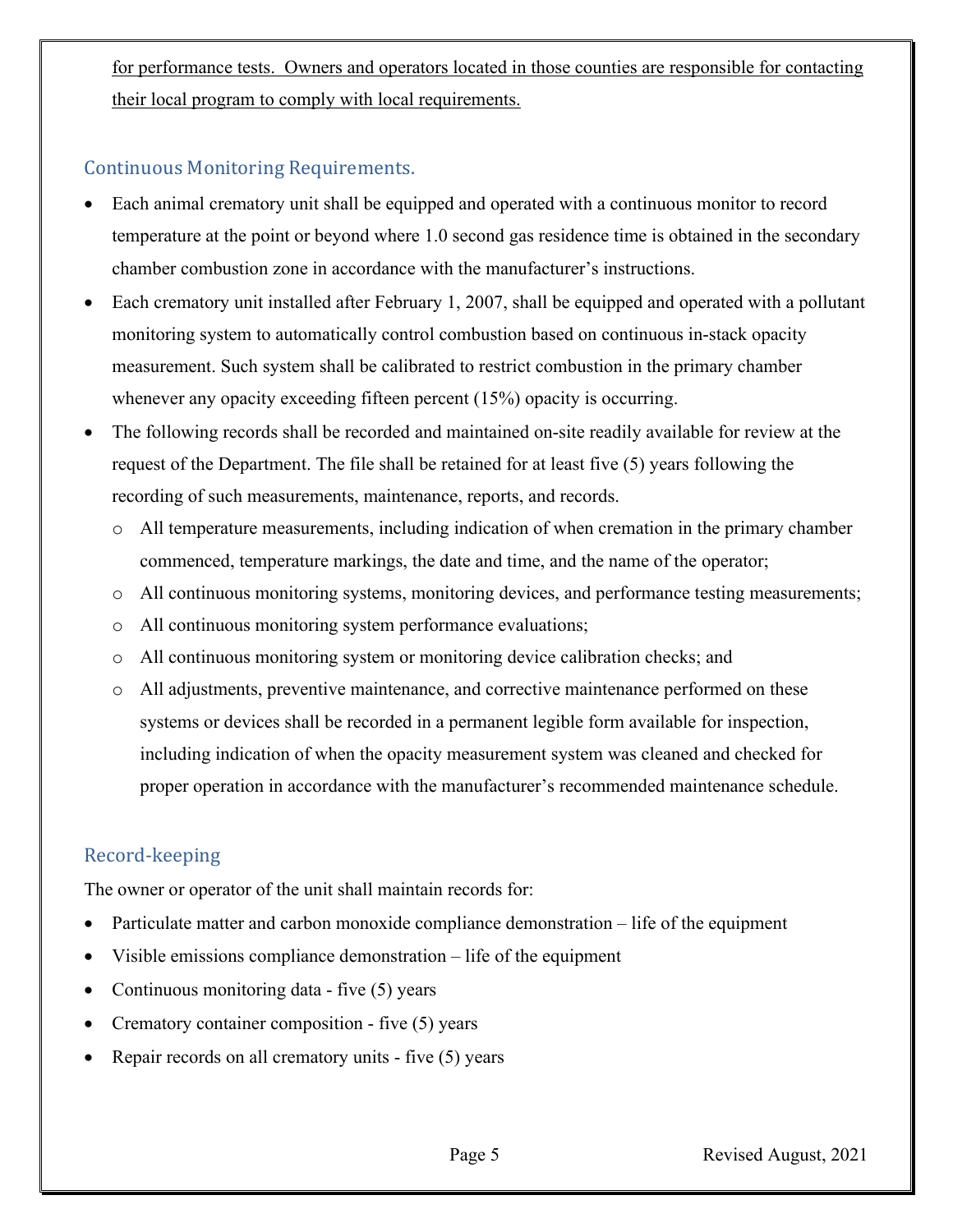for performance tests. Owners and operators located in those counties are responsible for contacting their local program to comply with local requirements.

#### Continuous Monitoring Requirements.

- Each animal crematory unit shall be equipped and operated with a continuous monitor to record temperature at the point or beyond where 1.0 second gas residence time is obtained in the secondary chamber combustion zone in accordance with the manufacturer's instructions.
- Each crematory unit installed after February 1, 2007, shall be equipped and operated with a pollutant monitoring system to automatically control combustion based on continuous in-stack opacity measurement. Such system shall be calibrated to restrict combustion in the primary chamber whenever any opacity exceeding fifteen percent (15%) opacity is occurring.
- The following records shall be recorded and maintained on-site readily available for review at the request of the Department. The file shall be retained for at least five (5) years following the recording of such measurements, maintenance, reports, and records.
	- commenced, temperature markings, the date and time, and the name of the operator; o All temperature measurements, including indication of when cremation in the primary chamber
	- o All continuous monitoring systems, monitoring devices, and performance testing measurements;
	- o All continuous monitoring system performance evaluations;
	- o All continuous monitoring system or monitoring device calibration checks; and
	- o All adjustments, preventive maintenance, and corrective maintenance performed on these systems or devices shall be recorded in a permanent legible form available for inspection, including indication of when the opacity measurement system was cleaned and checked for proper operation in accordance with the manufacturer's recommended maintenance schedule.

#### Record-keeping

The owner or operator of the unit shall maintain records for:

- Particulate matter and carbon monoxide compliance demonstration life of the equipment
- Visible emissions compliance demonstration life of the equipment
- Continuous monitoring data five (5) years
- Crematory container composition five (5) years
- Repair records on all crematory units five (5) years